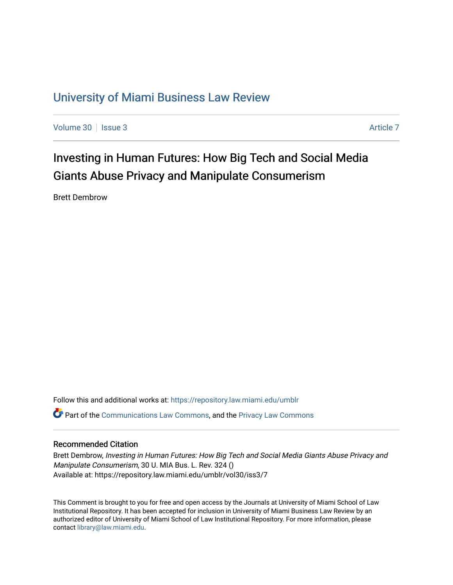# [University of Miami Business Law Review](https://repository.law.miami.edu/umblr)

[Volume 30](https://repository.law.miami.edu/umblr/vol30) | [Issue 3](https://repository.law.miami.edu/umblr/vol30/iss3) [Article 7](https://repository.law.miami.edu/umblr/vol30/iss3/7) Article 7 Article 7 Article 7 Article 7 Article 7 Article 7

Investing in Human Futures: How Big Tech and Social Media Giants Abuse Privacy and Manipulate Consumerism

Brett Dembrow

Follow this and additional works at: [https://repository.law.miami.edu/umblr](https://repository.law.miami.edu/umblr?utm_source=repository.law.miami.edu%2Fumblr%2Fvol30%2Fiss3%2F7&utm_medium=PDF&utm_campaign=PDFCoverPages)  Part of the [Communications Law Commons,](https://network.bepress.com/hgg/discipline/587?utm_source=repository.law.miami.edu%2Fumblr%2Fvol30%2Fiss3%2F7&utm_medium=PDF&utm_campaign=PDFCoverPages) and the [Privacy Law Commons](https://network.bepress.com/hgg/discipline/1234?utm_source=repository.law.miami.edu%2Fumblr%2Fvol30%2Fiss3%2F7&utm_medium=PDF&utm_campaign=PDFCoverPages)

#### Recommended Citation

Brett Dembrow, Investing in Human Futures: How Big Tech and Social Media Giants Abuse Privacy and Manipulate Consumerism, 30 U. MIA Bus. L. Rev. 324 () Available at: https://repository.law.miami.edu/umblr/vol30/iss3/7

This Comment is brought to you for free and open access by the Journals at University of Miami School of Law Institutional Repository. It has been accepted for inclusion in University of Miami Business Law Review by an authorized editor of University of Miami School of Law Institutional Repository. For more information, please contact [library@law.miami.edu](mailto:library@law.miami.edu).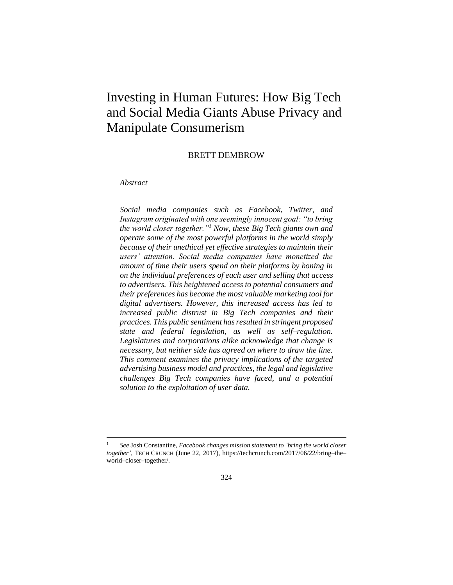# Investing in Human Futures: How Big Tech and Social Media Giants Abuse Privacy and Manipulate Consumerism

BRETT DEMBROW

#### *Abstract*

*Social media companies such as Facebook, Twitter, and Instagram originated with one seemingly innocent goal: "to bring the world closer together."<sup>1</sup> Now, these Big Tech giants own and operate some of the most powerful platforms in the world simply because of their unethical yet effective strategies to maintain their users' attention. Social media companies have monetized the amount of time their users spend on their platforms by honing in on the individual preferences of each user and selling that access to advertisers. This heightened access to potential consumers and their preferences has become the most valuable marketing tool for digital advertisers. However, this increased access has led to increased public distrust in Big Tech companies and their practices. This public sentiment has resulted in stringent proposed state and federal legislation, as well as self–regulation. Legislatures and corporations alike acknowledge that change is necessary, but neither side has agreed on where to draw the line. This comment examines the privacy implications of the targeted advertising business model and practices, the legal and legislative challenges Big Tech companies have faced, and a potential solution to the exploitation of user data.*

<sup>1</sup> *See* Josh Constantine, *Facebook changes mission statement to 'bring the world closer together'*, TECH CRUNCH (June 22, 2017), https://techcrunch.com/2017/06/22/bring–the– world–closer–together/.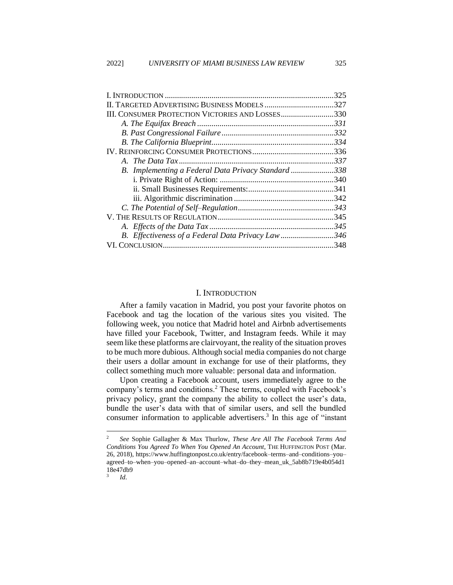|                                                         | 325  |
|---------------------------------------------------------|------|
|                                                         | .327 |
| <b>III. CONSUMER PROTECTION VICTORIES AND LOSSES330</b> |      |
|                                                         |      |
|                                                         |      |
|                                                         |      |
|                                                         |      |
|                                                         |      |
| B. Implementing a Federal Data Privacy Standard 338     |      |
|                                                         |      |
|                                                         |      |
|                                                         |      |
|                                                         |      |
|                                                         |      |
|                                                         |      |
| B. Effectiveness of a Federal Data Privacy Law346       |      |
|                                                         |      |
|                                                         |      |

## I. INTRODUCTION

<span id="page-2-0"></span>After a family vacation in Madrid, you post your favorite photos on Facebook and tag the location of the various sites you visited. The following week, you notice that Madrid hotel and Airbnb advertisements have filled your Facebook, Twitter, and Instagram feeds. While it may seem like these platforms are clairvoyant, the reality of the situation proves to be much more dubious. Although social media companies do not charge their users a dollar amount in exchange for use of their platforms, they collect something much more valuable: personal data and information.

Upon creating a Facebook account, users immediately agree to the company's terms and conditions.<sup>2</sup> These terms, coupled with Facebook's privacy policy, grant the company the ability to collect the user's data, bundle the user's data with that of similar users, and sell the bundled consumer information to applicable advertisers.<sup>3</sup> In this age of "instant

<sup>2</sup> *See* Sophie Gallagher & Max Thurlow, *These Are All The Facebook Terms And Conditions You Agreed To When You Opened An Account*, THE HUFFINGTON POST (Mar. 26, 2018), https://www.huffingtonpost.co.uk/entry/facebook–terms–and–conditions–you– agreed–to–when–you–opened–an–account–what–do–they–mean\_uk\_5ab8b719e4b054d1 18e47db9

<sup>3</sup> *Id*.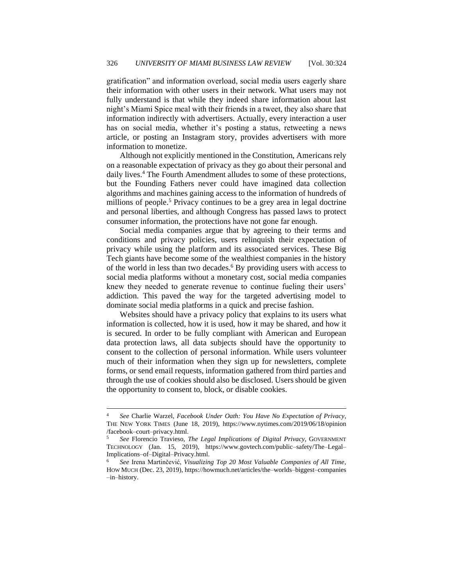gratification" and information overload, social media users eagerly share their information with other users in their network. What users may not fully understand is that while they indeed share information about last night's Miami Spice meal with their friends in a tweet, they also share that information indirectly with advertisers. Actually, every interaction a user has on social media, whether it's posting a status, retweeting a news article, or posting an Instagram story, provides advertisers with more information to monetize.

Although not explicitly mentioned in the Constitution, Americans rely on a reasonable expectation of privacy as they go about their personal and daily lives.<sup>4</sup> The Fourth Amendment alludes to some of these protections, but the Founding Fathers never could have imagined data collection algorithms and machines gaining access to the information of hundreds of millions of people.<sup>5</sup> Privacy continues to be a grey area in legal doctrine and personal liberties, and although Congress has passed laws to protect consumer information, the protections have not gone far enough.

Social media companies argue that by agreeing to their terms and conditions and privacy policies, users relinquish their expectation of privacy while using the platform and its associated services. These Big Tech giants have become some of the wealthiest companies in the history of the world in less than two decades.<sup>6</sup> By providing users with access to social media platforms without a monetary cost, social media companies knew they needed to generate revenue to continue fueling their users' addiction. This paved the way for the targeted advertising model to dominate social media platforms in a quick and precise fashion.

Websites should have a privacy policy that [explains to its users what](https://www.osano.com/articles/fine-print)  [information is collected,](https://www.osano.com/articles/fine-print) how it is used, how it may be shared, and how it is secured. In order to be fully compliant with American and European data protection laws, all data subjects should have the opportunity to consent to the collection of personal information. While users volunteer much of their information when they sign up for newsletters, complete forms, or send email requests, information gathered from third parties and through the use of cookies should also be disclosed. Users should be given the opportunity to consent to, block, or disable cookies.

<sup>4</sup> *See* Charlie Warzel, *Facebook Under Oath: You Have No Expectation of Privacy*, THE NEW YORK TIMES (June 18, 2019), https://www.nytimes.com/2019/06/18/opinion /facebook–court–privacy.html.

<sup>5</sup> *See* Florencio Travieso, *The Legal Implications of Digital Privacy*, GOVERNMENT TECHNOLOGY (Jan. 15, 2019), https://www.govtech.com/public–safety/The–Legal– Implications–of–Digital–Privacy.html.

<sup>6</sup> *See* Irena Martinčević, *Visualizing Top 20 Most Valuable Companies of All Time*, HOW MUCH (Dec. 23, 2019), https://howmuch.net/articles/the–worlds–biggest–companies –in–history.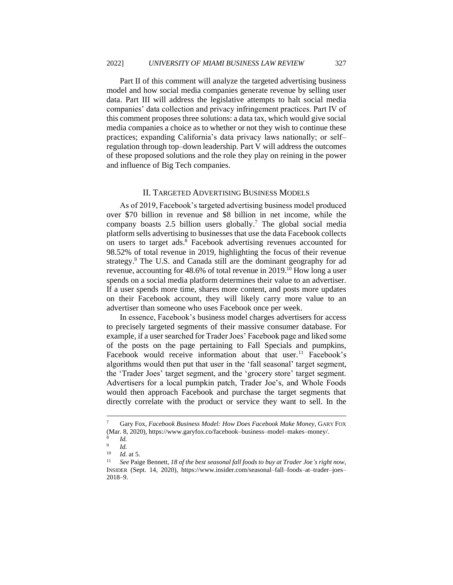Part II of this comment will analyze the targeted advertising business model and how social media companies generate revenue by selling user data. Part III will address the legislative attempts to halt social media companies' data collection and privacy infringement practices. Part IV of this comment proposes three solutions: a data tax, which would give social media companies a choice as to whether or not they wish to continue these practices; expanding California's data privacy laws nationally; or self– regulation through top–down leadership. Part V will address the outcomes of these proposed solutions and the role they play on reining in the power and influence of Big Tech companies.

#### II. TARGETED ADVERTISING BUSINESS MODELS

<span id="page-4-0"></span>As of 2019, Facebook's targeted advertising business model produced over \$70 billion in revenue and \$8 billion in net income, while the company boasts 2.5 billion users globally. <sup>7</sup> The global social media platform sells advertising to businesses that use the data Facebook collects on users to target ads.<sup>8</sup> Facebook advertising revenues accounted for 98.52% of total revenue in 2019, highlighting the focus of their revenue strategy. <sup>9</sup> The U.S. and Canada still are the dominant geography for ad revenue, accounting for 48.6% of total revenue in 2019.<sup>10</sup> How long a user spends on a social media platform determines their value to an advertiser. If a user spends more time, shares more content, and posts more updates on their Facebook account, they will likely carry more value to an advertiser than someone who uses Facebook once per week.

In essence, Facebook's business model charges advertisers for access to precisely targeted segments of their massive consumer database. For example, if a user searched for Trader Joes' Facebook page and liked some of the posts on the page pertaining to Fall Specials and pumpkins, Facebook would receive information about that user.<sup>11</sup> Facebook's algorithms would then put that user in the 'fall seasonal' target segment, the 'Trader Joes' target segment, and the 'grocery store' target segment. Advertisers for a local pumpkin patch, Trader Joe's, and Whole Foods would then approach Facebook and purchase the target segments that directly correlate with the product or service they want to sell. In the

<sup>7</sup> Gary Fox, *Facebook Business Model: How Does Facebook Make Money*, GARY FOX (Mar. 8, 2020), https://www.garyfox.co/facebook–business–model–makes–money/.

<sup>8</sup> *Id.* 9

*Id.*

 $\frac{10}{11}$  *Id.* at 5.

<sup>11</sup> *See* Paige Bennett, *18 of the best seasonal fall foods to buy at Trader Joe's right now*, INSIDER (Sept. 14, 2020), https://www.insider.com/seasonal–fall–foods–at–trader–joes– 2018–9.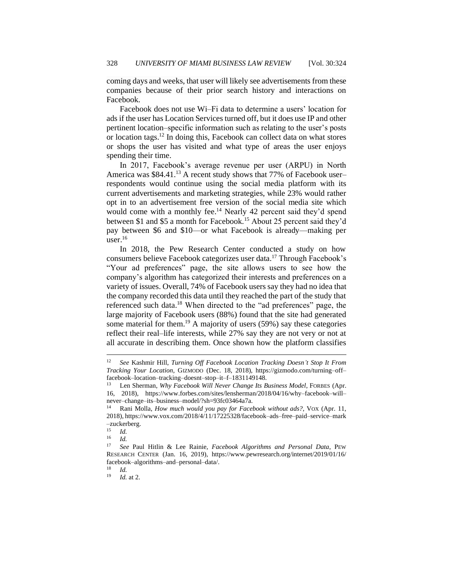coming days and weeks, that user will likely see advertisements from these companies because of their prior search history and interactions on Facebook.

Facebook does not use Wi–Fi data to determine a users' location for ads if the user has Location Services turned off, but it does use IP and other pertinent location–specific information such as relating to the user's posts or location tags.<sup>12</sup> In doing this, Facebook can collect data on what stores or shops the user has visited and what type of areas the user enjoys spending their time.

In 2017, Facebook's average revenue per user (ARPU) in North America was \$84.41.<sup>13</sup> A recent study shows that 77% of Facebook user– respondents would continue using the social media platform with its current advertisements and marketing strategies, while 23% would rather opt in to an advertisement free version of the social media site which would come with a monthly fee.<sup>14</sup> Nearly 42 percent said they'd spend between \$1 and \$5 a month for Facebook.<sup>15</sup> About 25 percent said they'd pay between \$6 and \$10—or what Facebook is already—making per user.<sup>16</sup>

In 2018, the Pew Research Center conducted a study on how consumers believe Facebook categorizes user data.<sup>17</sup> Through Facebook's "Your ad preferences" page, the site allows users to see how the company's algorithm has categorized their interests and preferences on a variety of issues. Overall, 74% of Facebook users say they had no idea that the company recorded this data until they reached the part of the study that referenced such data.<sup>18</sup> When directed to the "ad preferences" page, the large majority of Facebook users (88%) found that the site had generated some material for them.<sup>19</sup> A majority of users (59%) say these categories reflect their real–life interests, while 27% say they are not very or not at all accurate in describing them. Once shown how the platform classifies

<sup>12</sup> *See* Kashmir Hill, *Turning Off Facebook Location Tracking Doesn't Stop It From Tracking Your Location*, GIZMODO (Dec. 18, 2018), https://gizmodo.com/turning–off– facebook–location–tracking–doesnt–stop–it–f–1831149148.

<sup>&</sup>lt;sup>13</sup> Len Sherman, *Why Facebook Will Never Change Its Business Model*, FORBES (Apr. 16, 2018), https://www.forbes.com/sites/lensherman/2018/04/16/why–facebook–will– never–change–its–business–model/?sh=93fc03464a7a.

<sup>14</sup> Rani Molla, *How much would you pay for Facebook without ads?*, VOX (Apr. 11, 2018), https://www.vox.com/2018/4/11/17225328/facebook–ads–free–paid–service–mark  $-z$ uckerberg.

 $\frac{15}{16}$  *Id.* 

<sup>16</sup> *Id.*

<sup>17</sup> *See* Paul Hitlin & Lee Rainie, *Facebook Algorithms and Personal Data*, PEW RESEARCH CENTER (Jan. 16, 2019), https://www.pewresearch.org/internet/2019/01/16/ facebook–algorithms–and–personal–data/.<br> $\frac{18}{14}$ 

 $\frac{18}{19}$  *Id.* 

*Id.* at 2.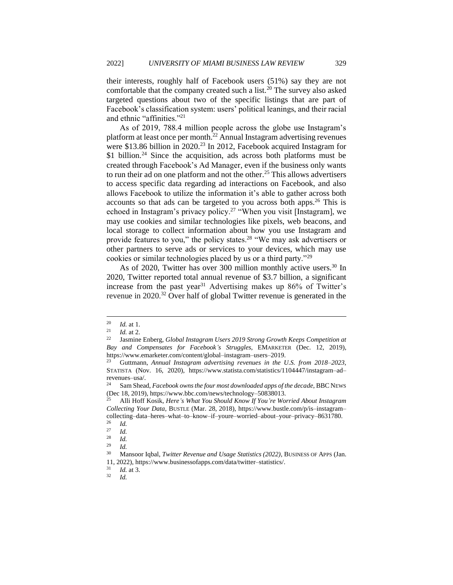their interests, roughly half of Facebook users (51%) say they are not comfortable that the company created such a list.<sup>20</sup> The survey also asked targeted questions about two of the specific listings that are part of Facebook's classification system: users' political leanings, and their racial and ethnic "affinities."<sup>21</sup>

As of 2019, 788.4 million people across the globe use Instagram's platform at least once per month.<sup>22</sup> Annual Instagram advertising revenues were \$13.86 billion in 2020.<sup>23</sup> In 2012, Facebook acquired Instagram for \$1 billion.<sup>24</sup> Since the acquisition, ads across both platforms must be created throug[h Facebook's Ad Manager,](https://www.facebook.com/business/products/ads) even if the business only wants to run their ad on one platform and not the other.<sup>25</sup> This allows advertisers to access specific data regarding ad interactions on Facebook, and also allows Facebook to utilize the information it's able to gather across both accounts so that ads can be targeted to you across both apps.<sup>26</sup> This is echoed in Instagram's privacy policy.<sup>27</sup> "When you visit [Instagram], we may use cookies and similar technologies like pixels, web beacons, and local storage to collect information about how you use Instagram and provide features to you," the policy states.<sup>28</sup> "We may ask advertisers or other partners to serve ads or services to your devices, which may use cookies or similar technologies placed by us or a third party."<sup>29</sup>

As of 2020, Twitter has over 300 million monthly active users.<sup>30</sup> In 2020, Twitter reported total annual revenue of \$3.7 billion, a significant increase from the past year<sup>31</sup> Advertising makes up 86% of Twitter's revenue in 2020.<sup>32</sup> Over half of global Twitter revenue is generated in the

<sup>20</sup> *Id.* at 1.

 $\frac{21}{22}$  *Id.* at 2.

<sup>22</sup> Jasmine Enberg, *Global Instagram Users 2019 Strong Growth Keeps Competition at Bay and Compensates for Facebook's Struggles,* EMARKETER (Dec. 12, 2019), https://www.emarketer.com/content/global–instagram–users–2019.

<sup>23</sup> Guttmann, *Annual Instagram advertising revenues in the U.S. from 2018–2023*, STATISTA (Nov. 16, 2020), https://www.statista.com/statistics/1104447/instagram–ad– revenues–usa/.<br><sup>24</sup> Sam Shaa

Sam Shead, *Facebook owns the four most downloaded apps of the decade*, BBC NEWS (Dec 18, 2019), https://www.bbc.com/news/technology–50838013.

<sup>25</sup> Alli Hoff Kosik, *Here's What You Should Know If You're Worried About Instagram Collecting Your Data*, BUSTLE (Mar. 28, 2018), https://www.bustle.com/p/is–instagram– collecting–data–heres–what–to–know–if–youre–worried–about–your–privacy–8631780.

 $rac{26}{27}$  *Id.* 

 $\frac{27}{28}$  *Id. Id.* 

 $\frac{29}{30}$  *Id.* 

<sup>30</sup> Mansoor Iqbal, *Twitter Revenue and Usage Statistics (2022)*, BUSINESS OF APPS (Jan. 11, 2022), https://www.businessofapps.com/data/twitter-statistics/.<br> $\frac{31}{14}$  at 3

 $rac{31}{32}$  *Id.* at 3.

<sup>32</sup> *Id.*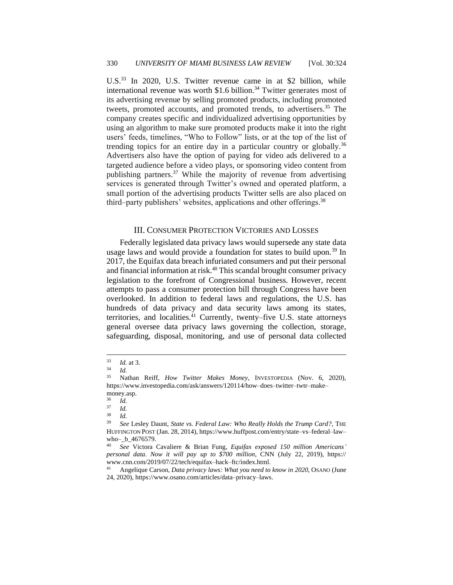U.S.<sup>33</sup> In 2020, U.S. Twitter revenue came in at \$2 billion, while international revenue was worth  $$1.6$  billion.<sup>34</sup> Twitter generates most of its advertising revenue by selling promoted products, including promoted tweets, promoted accounts, and promoted trends, to advertisers.<sup>35</sup> The company creates specific and individualized advertising opportunities by using an algorithm to make sure promoted products make it into the right users' feeds, timelines, "Who to Follow" lists, or at the top of the list of trending topics for an entire day in a particular country or globally.<sup>36</sup> Advertisers also have the option of paying for video ads delivered to a targeted audience before a video plays, or sponsoring video content from publishing partners.<sup>37</sup> While the majority of revenue from advertising services is generated through Twitter's owned and operated platform, a small portion of the advertising products Twitter sells are also placed on third–party publishers' websites, applications and other offerings.<sup>38</sup>

#### III. CONSUMER PROTECTION VICTORIES AND LOSSES

<span id="page-7-0"></span>Federally legislated data privacy laws would supersede any state data usage laws and would provide a foundation for states to build upon.<sup>39</sup> In 2017, the Equifax data breach infuriated consumers and put their personal and financial information at risk.<sup>40</sup> This scandal brought consumer privacy legislation to the forefront of Congressional business. However, recent attempts to pass a consumer protection bill through Congress have been overlooked. In addition to federal laws and regulations, the U.S. has hundreds of data privacy and data security laws among its states, territories, and localities.<sup>41</sup> Currently, twenty–five U.S. state attorneys general oversee data privacy laws governing the collection, storage, safeguarding, disposal, monitoring, and use of personal data collected

 $\frac{33}{34}$  *Id.* at 3.

 $\frac{34}{35}$  *Id.* 

<sup>35</sup> Nathan Reiff, *How Twitter Makes Money*, INVESTOPEDIA (Nov. 6, 2020), https://www.investopedia.com/ask/answers/120114/how–does–twitter–twtr–make– money.asp.

 $rac{36}{37}$  *Id.* 

 $rac{37}{38}$  *Id.* 

 $rac{38}{39}$  *Id.* 

<sup>39</sup> *See* Lesley Daunt, *State vs. Federal Law: Who Really Holds the Trump Card?*, THE HUFFINGTON POST (Jan. 28, 2014), https://www.huffpost.com/entry/state–vs–federal–law– who–\_b\_4676579.

<sup>40</sup> *See* Victora Cavaliere & Brian Fung, *Equifax exposed 150 million Americans' personal data. Now it will pay up to \$700 million*, CNN (July 22, 2019), https:// www.cnn.com/2019/07/22/tech/equifax–hack–ftc/index.html.<br><sup>41</sup> Angelique Carson, Data privacy laws: What you need to

<sup>41</sup> Angelique Carson, *Data privacy laws: What you need to know in 2020*, OSANO (June 24, 2020), https://www.osano.com/articles/data–privacy–laws.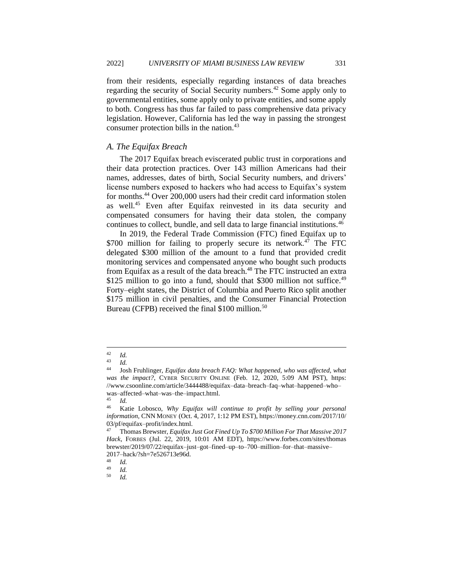from their residents, especially regarding instances of data breaches regarding the security of Social Security numbers.<sup>42</sup> Some apply only to governmental entities, some apply only to private entities, and some apply to both. Congress has thus far failed to pass comprehensive data privacy legislation. However, California has led the way in passing the strongest consumer protection bills in the nation.<sup>43</sup>

#### <span id="page-8-0"></span>*A. The Equifax Breach*

The 2017 Equifax breach eviscerated public trust in corporations and their data protection practices. Over 143 million Americans had their names, addresses, dates of birth, Social Security numbers, and drivers' license numbers exposed to hackers who had access to Equifax's system for months.<sup>44</sup> Over 200,000 users had their credit card information stolen as well.<sup>45</sup> Even after Equifax reinvested in its data security and compensated consumers for having their data stolen, the company continues to collect, bundle, and sell data to large financial institutions.<sup>46</sup>

In 2019, the Federal Trade Commission (FTC) fined Equifax up to \$700 million for failing to properly secure its network.<sup>47</sup> The FTC delegated \$300 million of the amount to a fund that provided credit monitoring services and compensated anyone who bought such products from Equifax as a result of the data breach.<sup>48</sup> The FTC instructed an extra \$125 million to go into a fund, should that \$300 million not suffice.<sup>49</sup> Forty–eight states, the District of Columbia and Puerto Rico split another \$175 million in civil penalties, and the Consumer Financial Protection Bureau (CFPB) received the final \$100 million.<sup>50</sup>

 $\frac{42}{43}$  *Id.* 

<sup>43</sup> *Id.*

<sup>44</sup> Josh Fruhlinger, *Equifax data breach FAQ: What happened, who was affected, what was the impact?*, CYBER SECURITY ONLINE (Feb. 12, 2020, 5:09 AM PST), https: //www.csoonline.com/article/3444488/equifax–data–breach–faq–what–happened–who– was–affected–what–was–the–impact.html.

<sup>45</sup> *Id.*

<sup>46</sup> Katie Lobosco, *Why Equifax will continue to profit by selling your personal information*, CNN MONEY (Oct. 4, 2017, 1:12 PM EST), https://money.cnn.com/2017/10/ 03/pf/equifax–profit/index.html.

<sup>47</sup> Thomas Brewster, *Equifax Just Got Fined Up To \$700 Million For That Massive 2017 Hack*, FORBES (Jul. 22, 2019, 10:01 AM EDT), https://www.forbes.com/sites/thomas brewster/2019/07/22/equifax–just–got–fined–up–to–700–million–for–that–massive– 2017–hack/?sh=7e526713e96d.

 $\frac{48}{49}$  *Id.* 

 $\frac{49}{50}$  *Id.* <sup>50</sup> *Id.*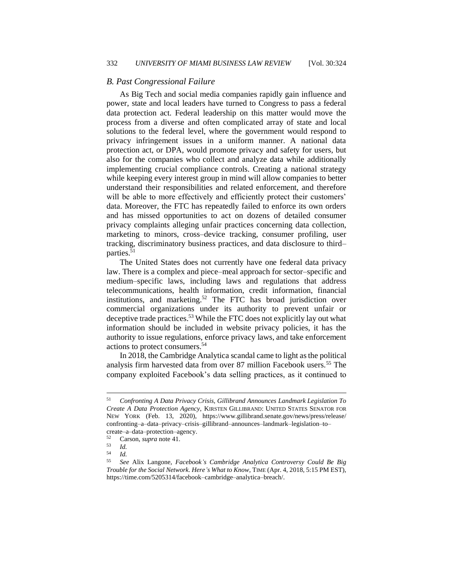#### <span id="page-9-0"></span>*B. Past Congressional Failure*

As Big Tech and social media companies rapidly gain influence and power, state and local leaders have turned to Congress to pass a federal data protection act. Federal leadership on this matter would move the process from a diverse and often complicated array of state and local solutions to the federal level, where the government would respond to privacy infringement issues in a uniform manner. A national data protection act, or DPA, would promote privacy and safety for users, but also for the companies who collect and analyze data while additionally implementing crucial compliance controls. Creating a national strategy while keeping every interest group in mind will allow companies to better understand their responsibilities and related enforcement, and therefore will be able to more effectively and efficiently protect their customers' data. Moreover, the FTC has repeatedly failed to enforce its own orders and has missed opportunities to act on dozens of detailed consumer privacy complaints alleging unfair practices concerning data collection, marketing to minors, cross–device tracking, consumer profiling, user tracking, discriminatory business practices, and data disclosure to third– parties.<sup>51</sup>

The United States does not currently have one federal data privacy law. There is a complex and piece–meal approach for sector–specific and medium–specific laws, including laws and regulations that address telecommunications, health information, credit information, financial institutions, and marketing.<sup>52</sup> The FTC has broad jurisdiction over commercial organizations under its authority to prevent unfair or deceptive trade practices.<sup>53</sup> While the FTC does not explicitly lay out what information should be included in website privacy policies, it has the authority to issue regulations, enforce privacy laws, and take enforcement actions to protect consumers.<sup>54</sup>

In 2018, the Cambridge Analytica scandal came to light as the political analysis firm harvested data from over 87 million Facebook users.<sup>55</sup> The company exploited Facebook's data selling practices, as it continued to

<sup>51</sup> *Confronting A Data Privacy Crisis, Gillibrand Announces Landmark Legislation To Create A Data Protection Agency*, KIRSTEN GILLIBRAND: UNITED STATES SENATOR FOR NEW YORK (Feb. 13, 2020), https://www.gillibrand.senate.gov/news/press/release/ confronting–a–data–privacy–crisis–gillibrand–announces–landmark–legislation–to– create–a–data–protection–agency.

 $\frac{52}{53}$  Carson, *supra* note 41.

 $\frac{53}{54}$  *Id.* 

 $\frac{54}{55}$  *Id.* 

<sup>55</sup> *See* Alix Langone, *Facebook's Cambridge Analytica Controversy Could Be Big Trouble for the Social Network. Here's What to Know*, TIME (Apr. 4, 2018, 5:15 PM EST), https://time.com/5205314/facebook–cambridge–analytica–breach/.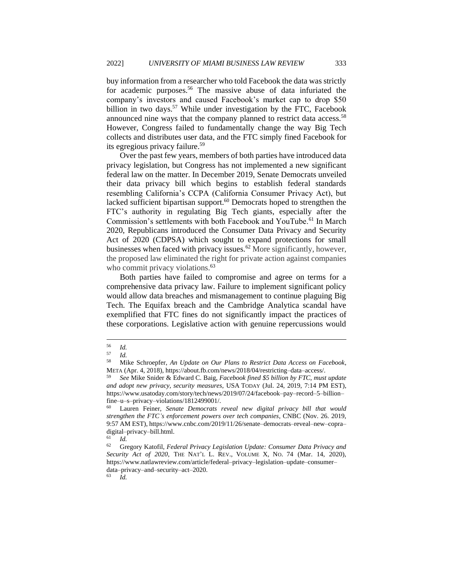buy information from a researcher who told Facebook the data was strictly for academic purposes.<sup>56</sup> The massive abuse of data infuriated the company's investors and caused Facebook's market cap to drop \$50 billion in two days.<sup>57</sup> While under investigation by the FTC, Facebook announced nine ways that the company planned to restrict data access.<sup>58</sup> However, Congress failed to fundamentally change the way Big Tech collects and distributes user data, and the FTC simply fined Facebook for its egregious privacy failure.<sup>59</sup>

Over the past few years, members of both parties have introduced data privacy legislation, but Congress has not implemented a new significant federal law on the matter. In December 2019, Senate Democrats unveiled their data privacy bill which begins to establish federal standards resembling California's CCPA (California Consumer Privacy Act), but lacked sufficient bipartisan support.<sup>60</sup> Democrats hoped to strengthen the FTC's authority in regulating Big Tech giants, especially after the Commission's settlements with both Facebook and YouTube.<sup>61</sup> In March 2020, Republicans introduced the Consumer Data Privacy and Security Act of 2020 (CDPSA) which sought to expand protections for small businesses when faced with privacy issues.<sup>62</sup> More significantly, however, the proposed law eliminated the right for private action against companies who commit privacy violations.<sup>63</sup>

Both parties have failed to compromise and agree on terms for a comprehensive data privacy law. Failure to implement significant policy would allow data breaches and mismanagement to continue plaguing Big Tech. The Equifax breach and the Cambridge Analytica scandal have exemplified that FTC fines do not significantly impact the practices of these corporations. Legislative action with genuine repercussions would

 $\frac{56}{57}$  *Id.* 

 $\frac{57}{58}$  *Id.* 

<sup>58</sup> Mike Schroepfer, *An Update on Our Plans to Restrict Data Access on Facebook*, META (Apr. 4, 2018), https://about.fb.com/news/2018/04/restricting–data–access/.

<sup>59</sup> *See* Mike Snider & Edward C. Baig, *Facebook fined \$5 billion by FTC, must update and adopt new privacy, security measures*, USA TODAY (Jul. 24, 2019, 7:14 PM EST), https://www.usatoday.com/story/tech/news/2019/07/24/facebook–pay–record–5–billion– fine–u–s–privacy–violations/1812499001/.

<sup>60</sup> Lauren Feiner, *Senate Democrats reveal new digital privacy bill that would strengthen the FTC's enforcement powers over tech companies*, CNBC (Nov. 26. 2019, 9:57 AM EST), https://www.cnbc.com/2019/11/26/senate–democrats–reveal–new–copra– digital–privacy–bill.html.<br> $^{61}$   $^{1}$ 

 $\begin{bmatrix} 61 & Id. \\ 62 & Gr. \end{bmatrix}$ 

<sup>62</sup> Gregory Katofil, *Federal Privacy Legislation Update: Consumer Data Privacy and Security Act of 2020*, THE NAT'L L. REV., VOLUME X, NO. 74 (Mar. 14, 2020), https://www.natlawreview.com/article/federal–privacy–legislation–update–consumer– data–privacy–and–security–act–2020.<br>  $\frac{63}{L}$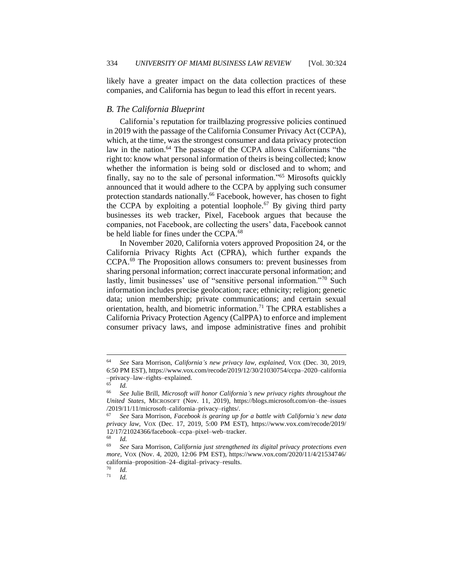likely have a greater impact on the data collection practices of these companies, and California has begun to lead this effort in recent years.

#### <span id="page-11-0"></span>*B. The California Blueprint*

California's reputation for trailblazing progressive policies continued in 2019 with the passage of the California Consumer Privacy Act (CCPA), which, at the time, was the strongest consumer and data privacy protection law in the nation.<sup>64</sup> The passage of the CCPA allows Californians "the right to: know what personal information of theirs is being collected; know whether the information is being sold or disclosed and to whom; and finally, say no to the sale of personal information."<sup>65</sup> Mirosofts quickly announced that it would adhere to the CCPA by applying such consumer protection standards nationally.<sup>66</sup> Facebook, however, has chosen to fight the CCPA by exploiting a potential loophole.<sup>67</sup> By giving third party businesses its web tracker, Pixel, Facebook argues that because the companies, not Facebook, are collecting the users' data, Facebook cannot be held liable for fines under the CCPA.<sup>68</sup>

In November 2020, California voters approved Proposition 24, or the California Privacy Rights Act (CPRA), which further expands the CCPA.<sup>69</sup> The Proposition allows consumers to: prevent businesses from sharing personal information; correct inaccurate personal information; and lastly, limit businesses' use of "sensitive personal information."<sup>70</sup> Such information includes precise geolocation; race; ethnicity; religion; genetic data; union membership; private communications; and certain sexual orientation, health, and biometric information.<sup>71</sup> The CPRA establishes a California Privacy Protection Agency (CalPPA) to enforce and implement consumer privacy laws, and impose administrative fines and prohibit

<sup>71</sup> *Id.*

<sup>64</sup> *See* Sara Morrison, *California's new privacy law, explained*, VOX (Dec. 30, 2019, 6:50 PM EST), https://www.vox.com/recode/2019/12/30/21030754/ccpa–2020–california –privacy–law–rights–explained.

<sup>65</sup> *Id.*

<sup>66</sup> *See* Julie Brill, *Microsoft will honor California's new privacy rights throughout the United States*, MICROSOFT (Nov. 11, 2019), https://blogs.microsoft.com/on–the–issues /2019/11/11/microsoft–california–privacy–rights/.

<sup>67</sup> *See* Sara Morrison, *Facebook is gearing up for a battle with California's new data privacy law*, VOX (Dec. 17, 2019, 5:00 PM EST), https://www.vox.com/recode/2019/  $12/17/21024366$ /facebook–ccpa–pixel–web–tracker.

<sup>68</sup> *Id.*

<sup>69</sup> *See* Sara Morrison, *California just strengthened its digital privacy protections even more*, VOX (Nov. 4, 2020, 12:06 PM EST), https://www.vox.com/2020/11/4/21534746/ california–proposition–24–digital–privacy–results.

 $\frac{70}{71}$  *Id.*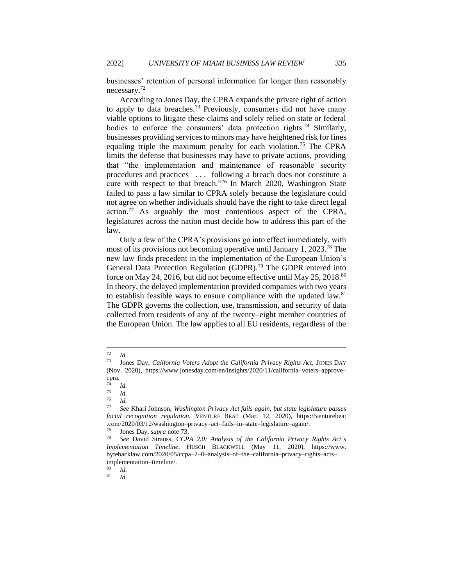businesses' retention of personal information for longer than reasonably necessary.<sup>72</sup>

According to Jones Day, the CPRA expands the private right of action to apply to data breaches.<sup>73</sup> Previously, consumers did not have many viable options to litigate these claims and solely relied on state or federal bodies to enforce the consumers' data protection rights.<sup>74</sup> Similarly, businesses providing services to minors may have heightened risk for fines equaling triple the maximum penalty for each violation.<sup>75</sup> The CPRA limits the defense that businesses may have to private actions, providing that "the implementation and maintenance of reasonable security procedures and practices . . . following a breach does not constitute a cure with respect to that breach."<sup>76</sup> In March 2020, Washington State failed to pass a law similar to CPRA solely because the legislature could not agree on whether individuals should have the right to take direct legal action.<sup>77</sup> As arguably the most contentious aspect of the CPRA, legislatures across the nation must decide how to address this part of the law.

Only a few of the CPRA's provisions go into effect immediately, with most of its provisions not becoming operative until January 1, 2023.<sup>78</sup> The new law finds precedent in the implementation of the European Union's General Data Protection Regulation (GDPR).<sup>79</sup> The GDPR entered into force on May 24, 2016, but did not become effective until May 25, 2018.<sup>80</sup> In theory, the delayed implementation provided companies with two years to establish feasible ways to ensure compliance with the updated law.<sup>81</sup> The GDPR governs the collection, use, transmission, and security of data collected from residents of any of the twenty–eight member countries of the European Union. The law applies to all EU residents, regardless of the

 $\begin{array}{cc} 80 & Id. \\ 81 & Id. \end{array}$ 

<sup>81</sup> *Id.*

 $\frac{72}{73}$  *Id.* 

<sup>73</sup> Jones Day, *California Voters Adopt the California Privacy Rights Act*, JONES DAY (Nov. 2020), https://www.jonesday.com/en/insights/2020/11/california–voters–approve– cpra.

 $\frac{74}{75}$  *Id.* 

 $\frac{75}{76}$  *Id.* 

<sup>76</sup> *Id.*

<sup>77</sup> *See* Khari Johnson, *Washington Privacy Act fails again, but state legislature passes facial recognition regulation*, VENTURE BEAT (Mar. 12, 2020), https://venturebeat .com/2020/03/12/washington–privacy–act–fails–in–state–legislature–again/.

<sup>78</sup> Jones Day, *supra* note 73.

<sup>79</sup> *See* David Strauss, *CCPA 2.0: Analysis of the California Privacy Rights Act's Implementation Timeline*, HUSCH BLACKWELL (May 11, 2020), https://www. bytebacklaw.com/2020/05/ccpa–2–0–analysis–of–the–california–privacy–rights–acts– implementation–timeline/.<br> $^{80}$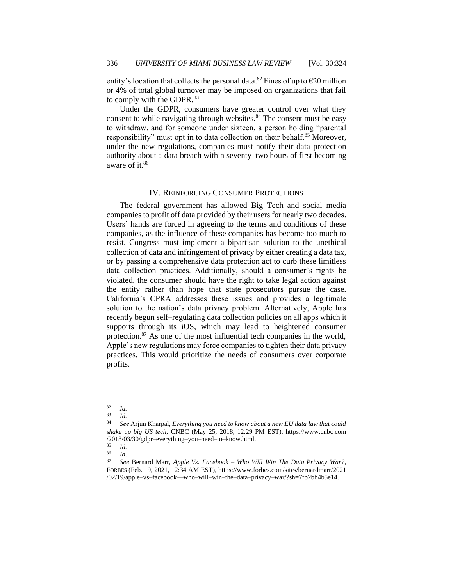entity's location that collects the personal data.<sup>82</sup> Fines of up to  $\epsilon$ 20 million or 4% of total global turnover may be imposed on organizations that fail to comply with the GDPR.<sup>83</sup>

Under the GDPR, consumers have greater control over what they consent to while navigating through websites.<sup>84</sup> The consent must be easy to withdraw, and for someone under sixteen, a person holding "parental responsibility" must opt in to data collection on their behalf.<sup>85</sup> Moreover, under the new regulations, companies must notify their data protection authority about a data breach within seventy–two hours of first becoming aware of it.<sup>86</sup>

#### IV. REINFORCING CONSUMER PROTECTIONS

<span id="page-13-0"></span>The federal government has allowed Big Tech and social media companies to profit off data provided by their users for nearly two decades. Users' hands are forced in agreeing to the terms and conditions of these companies, as the influence of these companies has become too much to resist. Congress must implement a bipartisan solution to the unethical collection of data and infringement of privacy by either creating a data tax, or by passing a comprehensive data protection act to curb these limitless data collection practices. Additionally, should a consumer's rights be violated, the consumer should have the right to take legal action against the entity rather than hope that state prosecutors pursue the case. California's CPRA addresses these issues and provides a legitimate solution to the nation's data privacy problem. Alternatively, Apple has recently begun self–regulating data collection policies on all apps which it supports through its iOS, which may lead to heightened consumer protection.<sup>87</sup> As one of the most influential tech companies in the world, Apple's new regulations may force companies to tighten their data privacy practices. This would prioritize the needs of consumers over corporate profits.

 $rac{82}{83}$  *Id.* 

 $\begin{array}{cc} 83 & Id. \\ 84 & Co. \end{array}$ 

<sup>84</sup> *See* Arjun Kharpal, *Everything you need to know about a new EU data law that could shake up big US tech*, CNBC (May 25, 2018, 12:29 PM EST), https://www.cnbc.com /2018/03/30/gdpr–everything–you–need–to–know.html.

 $\frac{85}{86}$  *Id.* 

 $rac{86}{87}$  *Id.* 

<sup>87</sup> *See* Bernard Marr, *Apple Vs. Facebook – Who Will Win The Data Privacy War?*, FORBES (Feb. 19, 2021, 12:34 AM EST), https://www.forbes.com/sites/bernardmarr/2021 /02/19/apple–vs–facebook––who–will–win–the–data–privacy–war/?sh=7fb2bb4b5e14.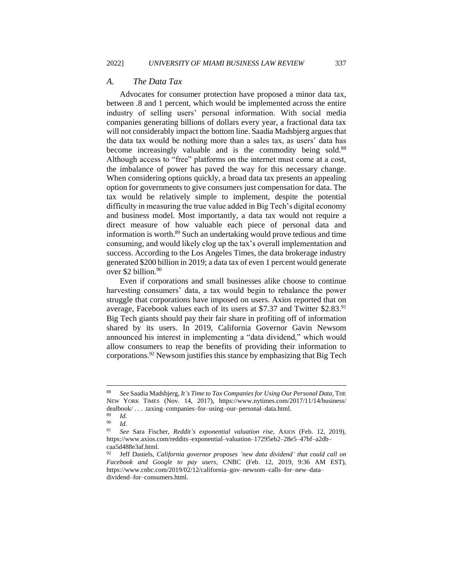#### <span id="page-14-0"></span>*A. The Data Tax*

Advocates for consumer protection have proposed a minor data tax, between .8 and 1 percent, which would be implemented across the entire industry of selling users' personal information. With social media companies generating billions of dollars every year, a fractional data tax will not considerably impact the bottom line. Saadia Madsbjerg argues that the data tax would be nothing more than a sales tax, as users' data has become increasingly valuable and is the commodity being sold.<sup>88</sup> Although access to "free" platforms on the internet must come at a cost, the imbalance of power has paved the way for this necessary change. When considering options quickly, a broad data tax presents an appealing option for governments to give consumers just compensation for data. The tax would be relatively simple to implement, despite the potential difficulty in measuring the true value added in Big Tech's digital economy and business model. Most importantly, a data tax would not require a direct measure of how valuable each piece of personal data and information is worth.<sup>89</sup> Such an undertaking would prove tedious and time consuming, and would likely clog up the tax's overall implementation and success. According to the Los Angeles Times, the data brokerage industry generated \$200 billion in 2019; a data tax of even 1 percent would generate over \$2 billion.<sup>90</sup>

Even if corporations and small businesses alike choose to continue harvesting consumers' data, a tax would begin to rebalance the power struggle that corporations have imposed on users. Axios reported that on average, Facebook values each of its users at \$7.37 and Twitter  $$2.83$ <sup>91</sup> Big Tech giants should pay their fair share in profiting off of information shared by its users. In 2019, California Governor Gavin Newsom announced his interest in implementing a "data dividend," which would allow consumers to reap the benefits of providing their information to corporations.<sup>92</sup> Newsom justifies this stance by emphasizing that Big Tech

<sup>88</sup> *See* Saadia Madsbjerg, *It's Time to Tax Companies for Using Our Personal Data*, THE NEW YORK TIMES (Nov. 14, 2017), https://www.nytimes.com/2017/11/14/business/ dealbook/ . . . .taxing–companies–for–using–our–personal–data.html.

 $\frac{89}{90}$  *Id.* 

 $\frac{90}{91}$  *Id.* 

<sup>91</sup> *See* Sara Fischer, *Reddit's exponential valuation rise*, AXIOS (Feb. 12, 2019), https://www.axios.com/reddits–exponential–valuation–17295eb2–28e5–47bf–a2db– caa5d488e3af.html.

<sup>92</sup> Jeff Daniels, *California governor proposes 'new data dividend' that could call on Facebook and Google to pay users*, CNBC (Feb. 12, 2019, 9:36 AM EST), https://www.cnbc.com/2019/02/12/california–gov–newsom–calls–for–new–data– dividend–for–consumers.html.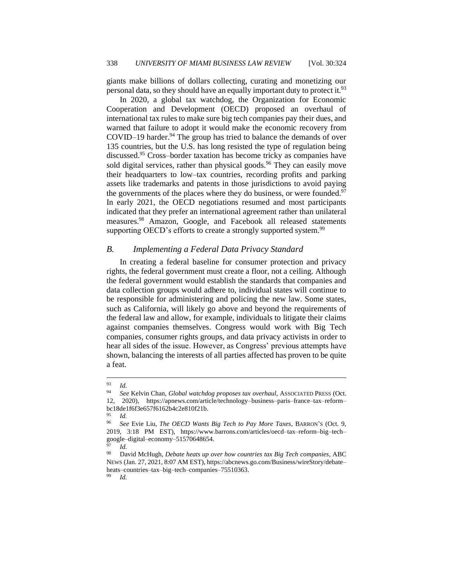giants make billions of dollars collecting, curating and monetizing our personal data, so they should have an equally important duty to protect it.<sup>93</sup>

In 2020, a global tax watchdog, the Organization for Economic Cooperation and Development (OECD) proposed an overhaul of international tax rules to make sure big tech companies pay their dues, and warned that failure to adopt it would make the economic recovery from COVID–19 harder. $94$  The group has tried to balance the demands of over 135 countries, but the U.S. has long resisted the type of regulation being discussed.<sup>95</sup> Cross–border taxation has become tricky as companies have sold digital services, rather than physical goods.<sup>96</sup> They can easily move their headquarters to low–tax countries, recording profits and parking assets like trademarks and patents in those jurisdictions to avoid paying the governments of the places where they do business, or were founded.<sup>97</sup> In early 2021, the OECD negotiations resumed and most participants indicated that they prefer an international agreement rather than unilateral measures.<sup>98</sup> Amazon, Google, and Facebook all released statements supporting OECD's efforts to create a strongly supported system.<sup>99</sup>

#### <span id="page-15-0"></span>*B. Implementing a Federal Data Privacy Standard*

In creating a federal baseline for consumer protection and privacy rights, the federal government must create a floor, not a ceiling. Although the federal government would establish the standards that companies and data collection groups would adhere to, individual states will continue to be responsible for administering and policing the new law. Some states, such as California, will likely go above and beyond the requirements of the federal law and allow, for example, individuals to litigate their claims against companies themselves. Congress would work with Big Tech companies, consumer rights groups, and data privacy activists in order to hear all sides of the issue. However, as Congress' previous attempts have shown, balancing the interests of all parties affected has proven to be quite a feat.

 $\frac{93}{94}$  *Id.* 

<sup>94</sup> *See* Kelvin Chan, *Global watchdog proposes tax overhaul*, ASSOCIATED PRESS (Oct. 12, 2020), https://apnews.com/article/technology–business–paris–france–tax–reform– bc18de1f6f3e657f6162b4c2e810f21b.

<sup>95</sup> *Id.*

<sup>96</sup> *See* Evie Liu, *The OECD Wants Big Tech to Pay More Taxes*, BARRON'S (Oct. 9, 2019, 3:18 PM EST), https://www.barrons.com/articles/oecd–tax–reform–big–tech– google–digital–economy–51570648654.

*Id.* 

<sup>98</sup> David McHugh, *Debate heats up over how countries tax Big Tech companies*, ABC NEWS (Jan. 27, 2021, 8:07 AM EST), https://abcnews.go.com/Business/wireStory/debate– heats–countries–tax–big–tech–companies–75510363. <sup>99</sup> *Id.*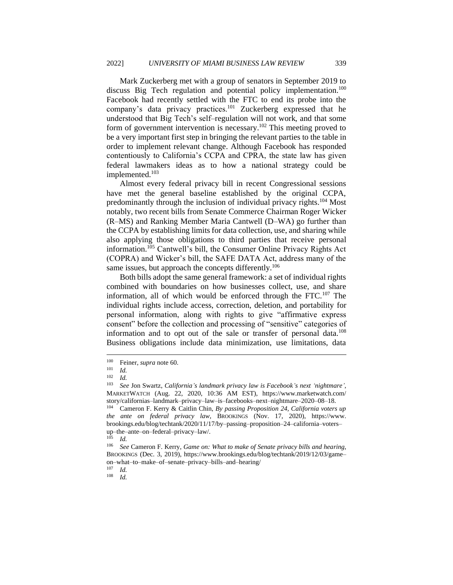Mark Zuckerberg met with a group of senators in September 2019 to discuss Big Tech regulation and potential policy implementation.<sup>100</sup> Facebook had recently settled with the FTC to end its probe into the company's data privacy practices.<sup>101</sup> Zuckerberg expressed that he understood that Big Tech's self–regulation will not work, and that some form of government intervention is necessary.<sup>102</sup> This meeting proved to be a very important first step in bringing the relevant parties to the table in order to implement relevant change. Although Facebook has responded contentiously to California's CCPA and CPRA, the state law has given federal lawmakers ideas as to how a national strategy could be implemented.<sup>103</sup>

Almost every federal privacy bill in recent Congressional sessions have met the general baseline established by the original CCPA, predominantly through the inclusion of individual privacy rights.<sup>104</sup> Most notably, two recent bills from Senate Commerce Chairman Roger Wicker (R–MS) and Ranking Member Maria Cantwell (D–WA) go further than the CCPA by establishing limits for data collection, use, and sharing while also applying those obligations to third parties that receive personal information.<sup>105</sup> Cantwell's bill, the Consumer Online Privacy Rights Act (COPRA) and Wicker's bill, the SAFE DATA Act, address many of the same issues, but approach the concepts differently.<sup>106</sup>

Both bills adopt the same general framework: a set of individual rights combined with boundaries on how businesses collect, use, and share information, all of which would be enforced through the FTC.<sup>107</sup> The individual rights include access, correction, deletion, and portability for personal information, along with rights to give "affirmative express consent" before the collection and processing of "sensitive" categories of information and to opt out of the sale or transfer of personal data.<sup>108</sup> Business obligations include data minimization, use limitations, data

<sup>&</sup>lt;sup>100</sup> Feiner, *supra* note 60.

 $\frac{101}{102}$  *Id.* 

 $\frac{102}{103}$  *Id.* 

<sup>103</sup> *See* Jon Swartz, *California's landmark privacy law is Facebook's next 'nightmare'*, MARKETWATCH (Aug. 22, 2020, 10:36 AM EST), https://www.marketwatch.com/ story/californias–landmark–privacy–law–is–facebooks–next–nightmare–2020–08–18.

<sup>104</sup> Cameron F. Kerry & Caitlin Chin, *By passing Proposition 24, California voters up the ante on federal privacy law*, BROOKINGS (Nov. 17, 2020), https://www. brookings.edu/blog/techtank/2020/11/17/by–passing–proposition–24–california–voters– up–the–ante–on–federal–privacy–law/.

 $105$  *Id.* 

<sup>106</sup> *See* Cameron F. Kerry, *Game on: What to make of Senate privacy bills and hearing*, BROOKINGS (Dec. 3, 2019), https://www.brookings.edu/blog/techtank/2019/12/03/game– on–what–to–make–of–senate–privacy–bills–and–hearing/

 $\frac{107}{108}$  *Id.* 

<sup>108</sup> *Id.*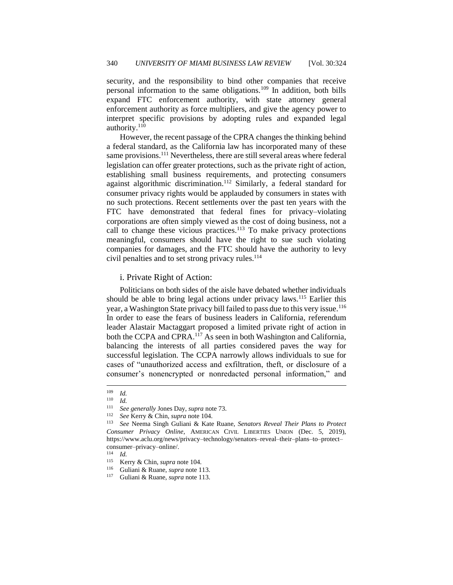security, and the responsibility to bind other companies that receive personal information to the same obligations.<sup>109</sup> In addition, both bills expand FTC enforcement authority, with state attorney general enforcement authority as force multipliers, and give the agency power to interpret specific provisions by adopting rules and expanded legal authority.<sup>110</sup>

However, the recent passage of the CPRA changes the thinking behind a federal standard, as the California law has incorporated many of these same provisions.<sup>111</sup> Nevertheless, there are still several areas where federal legislation can offer greater protections, such as the private right of action, establishing small business requirements, and protecting consumers against algorithmic discrimination.<sup>112</sup> Similarly, a federal standard for consumer privacy rights would be applauded by consumers in states with no such protections. Recent settlements over the past ten years with the FTC have demonstrated that federal fines for privacy–violating corporations are often simply viewed as the cost of doing business, not a call to change these vicious practices.<sup>113</sup> To make privacy protections meaningful, consumers should have the right to sue such violating companies for damages, and the FTC should have the authority to levy civil penalties and to set strong privacy rules. $114$ 

#### <span id="page-17-0"></span>i. Private Right of Action:

Politicians on both sides of the aisle have debated whether individuals should be able to bring legal actions under privacy laws.<sup>115</sup> Earlier this year, a Washington State privacy bill failed to pass due to this very issue.<sup>116</sup> In order to ease the fears of business leaders in California, referendum leader Alastair Mactaggart proposed a limited private right of action in both the CCPA and CPRA.<sup>117</sup> As seen in both Washington and California, balancing the interests of all parties considered paves the way for successful legislation. The CCPA narrowly allows individuals to sue for cases of "unauthorized access and exfiltration, theft, or disclosure of a consumer's nonencrypted or nonredacted personal information," and

<sup>109</sup> *Id.*

<sup>110</sup> *Id.*

<sup>111</sup> *See generally* Jones Day, *supra* note 73.

<sup>112</sup> *See* Kerry & Chin, *supra* note 104.

<sup>113</sup> *See* Neema Singh Guliani & Kate Ruane, *Senators Reveal Their Plans to Protect Consumer Privacy Online*, AMERICAN CIVIL LIBERTIES UNION (Dec. 5, 2019), https://www.aclu.org/news/privacy–technology/senators–reveal–their–plans–to–protect– consumer–privacy–online/.

 $\frac{114}{115}$  *Id.* 

Kerry & Chin, *supra* note 104.

<sup>116</sup> Guliani & Ruane, *supra* note 113.

<sup>117</sup> Guliani & Ruane, *supra* note 113.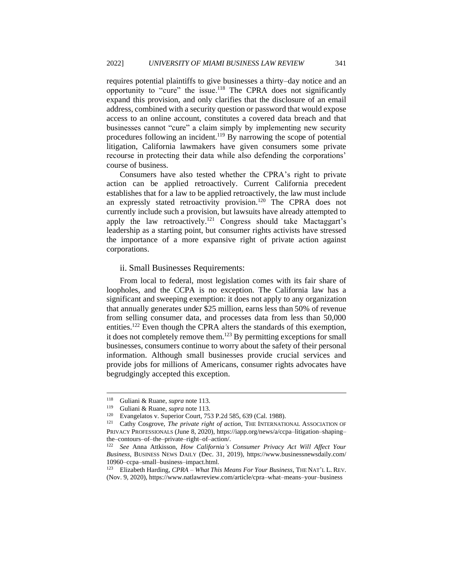requires potential plaintiffs to give businesses a thirty–day notice and an opportunity to "cure" the issue.<sup>118</sup> The CPRA does not significantly expand this provision, and only clarifies that the disclosure of an email address, combined with a security question or password that would expose access to an online account, constitutes a covered data breach and that businesses cannot "cure" a claim simply by implementing new security procedures following an incident.<sup>119</sup> By narrowing the scope of potential litigation, California lawmakers have given consumers some private recourse in protecting their data while also defending the corporations' course of business.

Consumers have also tested whether the CPRA's right to private action can be applied retroactively. Current California precedent establishes that for a law to be applied retroactively, the law must include an expressly stated retroactivity provision.<sup>120</sup> The CPRA does not currently include such a provision, but lawsuits have already attempted to apply the law retroactively.<sup>121</sup> Congress should take Mactaggart's leadership as a starting point, but consumer rights activists have stressed the importance of a more expansive right of private action against corporations.

#### <span id="page-18-0"></span>ii. Small Businesses Requirements:

From local to federal, most legislation comes with its fair share of loopholes, and the CCPA is no exception. The California law has a significant and sweeping exemption: it does not apply to any organization that annually generates under \$25 million, earns less than 50% of revenue from selling consumer data, and processes data from less than 50,000 entities.<sup>122</sup> Even though the CPRA alters the standards of this exemption, it does not completely remove them.<sup>123</sup> By permitting exceptions for small businesses, consumers continue to worry about the safety of their personal information. Although small businesses provide crucial services and provide jobs for millions of Americans, consumer rights advocates have begrudgingly accepted this exception.

<sup>118</sup> Guliani & Ruane, *supra* note 113.

<sup>119</sup> Guliani & Ruane, *supra* note 113.

<sup>120</sup> Evangelatos v. Superior Court, 753 P.2d 585, 639 (Cal. 1988).

<sup>&</sup>lt;sup>121</sup> Cathy Cosgrove, *The private right of action*, THE INTERNATIONAL ASSOCIATION OF PRIVACY PROFESSIONALS (June 8, 2020), https://iapp.org/news/a/ccpa–litigation–shaping– the–contours–of–the–private–right–of–action/.

<sup>122</sup> *See* Anna Attkisson, *How California's Consumer Privacy Act Will Affect Your Business*, BUSINESS NEWS DAILY (Dec. 31, 2019), https://www.businessnewsdaily.com/ 10960–ccpa–small–business–impact.html.

<sup>123</sup> Elizabeth Harding, *CPRA – What This Means For Your Business*, THE NAT'L L. REV. (Nov. 9, 2020), https://www.natlawreview.com/article/cpra–what–means–your–business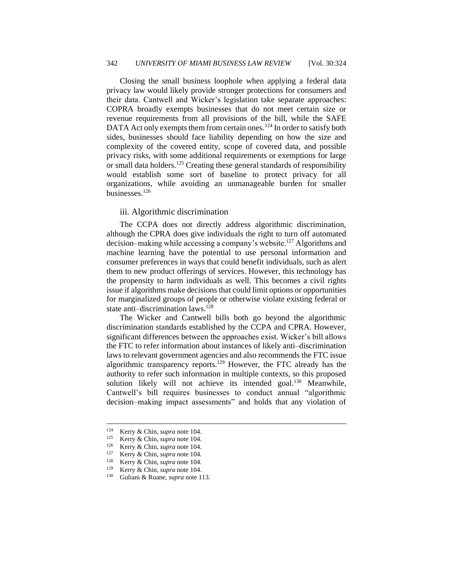Closing the small business loophole when applying a federal data privacy law would likely provide stronger protections for consumers and their data. Cantwell and Wicker's legislation take separate approaches: COPRA broadly exempts businesses that do not meet certain size or revenue requirements from all provisions of the bill, while the SAFE DATA Act only exempts them from certain ones.<sup>124</sup> In order to satisfy both sides, businesses should face liability depending on how the size and complexity of the covered entity, scope of covered data, and possible privacy risks, with some additional requirements or exemptions for large or small data holders.<sup>125</sup> Creating these general standards of responsibility would establish some sort of baseline to protect privacy for all organizations, while avoiding an unmanageable burden for smaller businesses.<sup>126</sup>

#### <span id="page-19-0"></span>iii. Algorithmic discrimination

The CCPA does not directly address algorithmic discrimination, although the CPRA does give individuals the right to turn off automated decision–making while accessing a company's website.<sup>127</sup> Algorithms and machine learning have the potential to use personal information and consumer preferences in ways that could benefit individuals, such as alert them to new product offerings of services. However, this technology has the propensity to harm individuals as well. This becomes a civil rights issue if algorithms make decisions that could limit options or opportunities for marginalized groups of people or otherwise violate existing federal or state anti-discrimination laws.<sup>128</sup>

The Wicker and Cantwell bills both go beyond the algorithmic discrimination standards established by the CCPA and CPRA. However, significant differences between the approaches exist. Wicker's bill allows the FTC to refer information about instances of likely anti–discrimination laws to relevant government agencies and also recommends the FTC issue algorithmic transparency reports.<sup>129</sup> However, the FTC already has the authority to refer such information in multiple contexts, so this proposed solution likely will not achieve its intended goal.<sup>130</sup> Meanwhile, Cantwell's bill requires businesses to conduct annual "algorithmic decision–making impact assessments" and holds that any violation of

<sup>&</sup>lt;sup>124</sup> Kerry & Chin, *supra* note 104.

Kerry & Chin, *supra* note 104.

<sup>126</sup> Kerry & Chin, *supra* note 104.

<sup>127</sup> Kerry & Chin, *supra* note 104.

<sup>128</sup> Kerry & Chin, *supra* note 104.

<sup>129</sup> Kerry & Chin, *supra* note 104.

<sup>130</sup> Guliani & Ruane, *supra* note 113.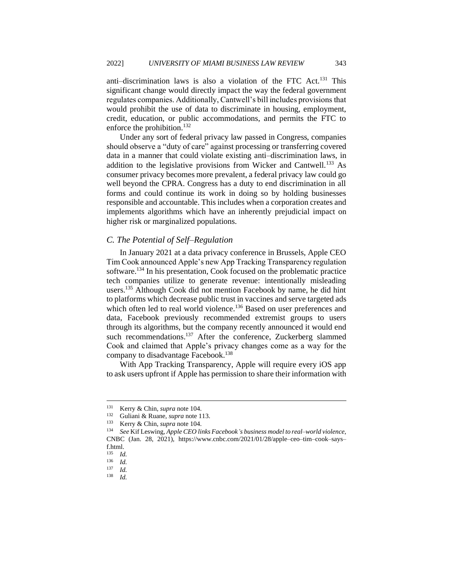anti–discrimination laws is also a violation of the FTC Act.<sup>131</sup> This significant change would directly impact the way the federal government regulates companies. Additionally, Cantwell's bill includes provisions that would prohibit the use of data to discriminate in housing, employment, credit, education, or public accommodations, and permits the FTC to enforce the prohibition.<sup>132</sup>

Under any sort of federal privacy law passed in Congress, companies should observe a "duty of care" against processing or transferring covered data in a manner that could violate existing anti–discrimination laws, in addition to the legislative provisions from Wicker and Cantwell.<sup>133</sup> As consumer privacy becomes more prevalent, a federal privacy law could go well beyond the CPRA. Congress has a duty to end discrimination in all forms and could continue its work in doing so by holding businesses responsible and accountable. This includes when a corporation creates and implements algorithms which have an inherently prejudicial impact on higher risk or marginalized populations.

#### <span id="page-20-0"></span>*C. The Potential of Self–Regulation*

In January 2021 at a data privacy conference in Brussels, Apple CEO Tim Cook announced Apple's new App Tracking Transparency regulation software.<sup>134</sup> In his presentation, Cook focused on the problematic practice tech companies utilize to generate revenue: intentionally misleading users.<sup>135</sup> Although Cook did not mention Facebook by name, he did hint to platforms which decrease public trust in vaccines and serve targeted ads which often led to real world violence.<sup>136</sup> Based on user preferences and data, Facebook previously recommended extremist groups to users through its algorithms, but the company recently announced it would end such recommendations.<sup>137</sup> After the conference, Zuckerberg slammed Cook and claimed that Apple's privacy changes come as a way for the company to disadvantage Facebook.<sup>138</sup>

With App Tracking Transparency, Apple will require every iOS app to ask users upfront if Apple has permission to share their information with

<sup>&</sup>lt;sup>131</sup> Kerry & Chin, *supra* note 104.

<sup>&</sup>lt;sup>132</sup> Guliani & Ruane, *supra* note 113.<br><sup>133</sup> Kerry & Chin, *supra* note 104

<sup>133</sup> Kerry & Chin, *supra* note 104.

<sup>134</sup> *See* Kif Leswing, *Apple CEO links Facebook's business model to real–world violence*, CNBC (Jan. 28, 2021), https://www.cnbc.com/2021/01/28/apple–ceo–tim–cook–says– f.html.

 $\frac{135}{136}$  *Id.* 

 $\frac{136}{137}$  *Id.* 

 $\frac{137}{138}$  *Id.* 

<sup>138</sup> *Id.*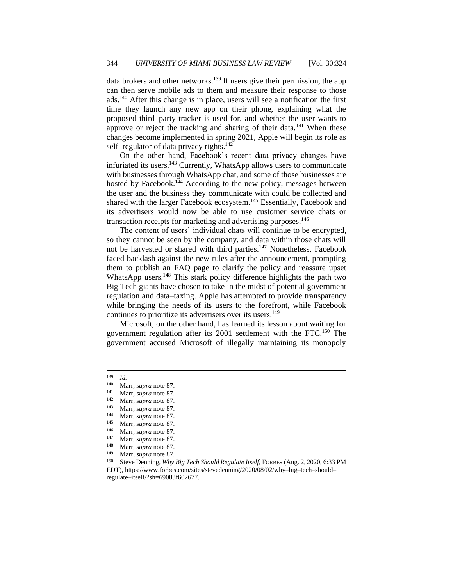data brokers and other networks.<sup>139</sup> If users give their permission, the app can then serve mobile ads to them and measure their response to those ads.<sup>140</sup> After this change is in place, users will see a notification the first time they launch any new app on their phone, explaining what the proposed third–party tracker is used for, and whether the user wants to approve or reject the tracking and sharing of their data.<sup>141</sup> When these changes become implemented in spring 2021, Apple will begin its role as self–regulator of data privacy rights.<sup>142</sup>

On the other hand, Facebook's recent data privacy changes have infuriated its users.<sup>143</sup> Currently, WhatsApp allows users to communicate with businesses through WhatsApp chat, and some of those businesses are hosted by Facebook.<sup>144</sup> According to the new policy, messages between the user and the business they communicate with could be collected and shared with the larger Facebook ecosystem.<sup>145</sup> Essentially, Facebook and its advertisers would now be able to use customer service chats or transaction receipts for marketing and advertising purposes.<sup>146</sup>

The content of users' individual chats will continue to be encrypted, so they cannot be seen by the company, and data within those chats will not be harvested or shared with third parties.<sup>147</sup> Nonetheless, Facebook faced backlash against the new rules after the announcement, prompting them to publish an FAQ page to clarify the policy and reassure upset WhatsApp users.<sup>148</sup> This stark policy difference highlights the path two Big Tech giants have chosen to take in the midst of potential government regulation and data–taxing. Apple has attempted to provide transparency while bringing the needs of its users to the forefront, while Facebook continues to prioritize its advertisers over its users.<sup>149</sup>

Microsoft, on the other hand, has learned its lesson about waiting for government regulation after its 2001 settlement with the FTC.<sup>150</sup> The government accused Microsoft of illegally maintaining its monopoly

 $\frac{139}{140}$  *Id.* 

<sup>&</sup>lt;sup>140</sup> Marr, *supra* note 87.<br><sup>141</sup> Marr, *supra* pote 87.

<sup>&</sup>lt;sup>141</sup> Marr, *supra* note 87.<br><sup>142</sup> Marr, *supra* note 87

Marr, *supra* note 87.

<sup>143</sup> Marr, *supra* note 87.

<sup>&</sup>lt;sup>144</sup> Marr, *supra* note 87.

<sup>&</sup>lt;sup>145</sup> Marr, *supra* note 87.

<sup>&</sup>lt;sup>146</sup> Marr, *supra* note 87.

Marr, *supra* note 87.

<sup>&</sup>lt;sup>148</sup> Marr, *supra* note 87.

Marr, *supra* note 87.

<sup>150</sup> Steve Denning, *Why Big Tech Should Regulate Itself*, FORBES (Aug. 2, 2020, 6:33 PM EDT), https://www.forbes.com/sites/stevedenning/2020/08/02/why–big–tech–should– regulate–itself/?sh=69083f602677.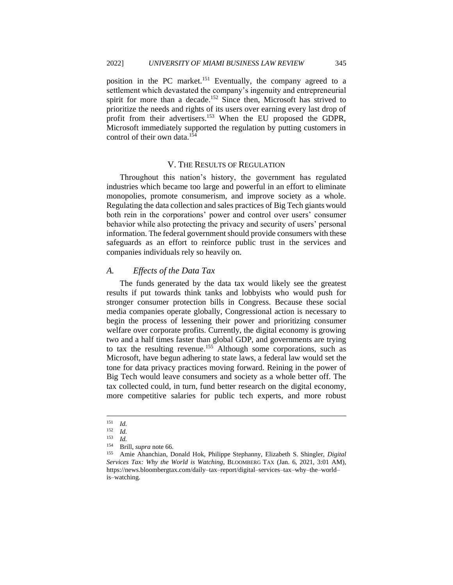position in the PC market.<sup>151</sup> Eventually, the company agreed to a settlement which devastated the company's ingenuity and entrepreneurial spirit for more than a decade.<sup>152</sup> Since then, Microsoft has strived to prioritize the needs and rights of its users over earning every last drop of profit from their advertisers.<sup>153</sup> When the EU proposed the GDPR, Microsoft immediately supported the regulation by putting customers in control of their own data.<sup>154</sup>

# V. THE RESULTS OF REGULATION

<span id="page-22-0"></span>Throughout this nation's history, the government has regulated industries which became too large and powerful in an effort to eliminate monopolies, promote consumerism, and improve society as a whole. Regulating the data collection and sales practices of Big Tech giants would both rein in the corporations' power and control over users' consumer behavior while also protecting the privacy and security of users' personal information. The federal government should provide consumers with these safeguards as an effort to reinforce public trust in the services and companies individuals rely so heavily on.

#### <span id="page-22-1"></span>*A. Effects of the Data Tax*

The funds generated by the data tax would likely see the greatest results if put towards think tanks and lobbyists who would push for stronger consumer protection bills in Congress. Because these social media companies operate globally, Congressional action is necessary to begin the process of lessening their power and prioritizing consumer welfare over corporate profits. Currently, the digital economy is growing two and a half times faster than global GDP, and governments are trying to tax the resulting revenue.<sup>155</sup> Although some corporations, such as Microsoft, have begun adhering to state laws, a federal law would set the tone for data privacy practices moving forward. Reining in the power of Big Tech would leave consumers and society as a whole better off. The tax collected could, in turn, fund better research on the digital economy, more competitive salaries for public tech experts, and more robust

<sup>151</sup> *Id.*

 $\frac{152}{153}$  *Id.* 

<sup>153</sup> *Id.*

<sup>154</sup> Brill, *supra* note 66.

<sup>155</sup> Amie Ahanchian, Donald Hok, Philippe Stephanny, Elizabeth S. Shingler, *Digital Services Tax: Why the World is Watching*, BLOOMBERG TAX (Jan. 6, 2021, 3:01 AM), https://news.bloombergtax.com/daily–tax–report/digital–services–tax–why–the–world– is–watching.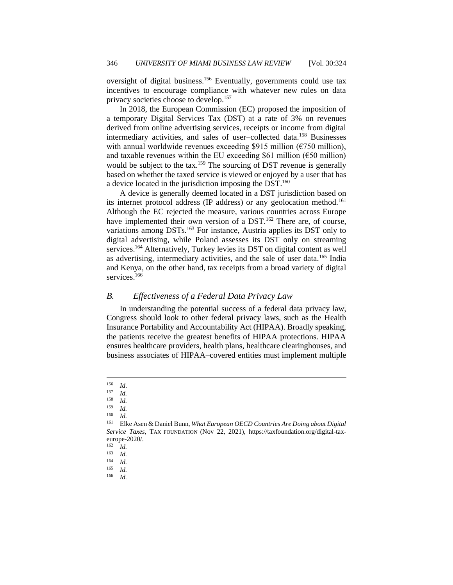oversight of digital business.<sup>156</sup> Eventually, governments could use tax incentives to encourage compliance with whatever new rules on data privacy societies choose to develop.<sup>157</sup>

In 2018, the European Commission (EC) proposed the imposition of a temporary Digital Services Tax (DST) at a rate of 3% on revenues derived from online advertising services, receipts or income from digital intermediary activities, and sales of user–collected data.<sup>158</sup> Businesses with annual worldwide revenues exceeding \$915 million (€750 million), and taxable revenues within the EU exceeding \$61 million ( $\epsilon$ 50 million) would be subject to the tax.<sup>159</sup> The sourcing of DST revenue is generally based on whether the taxed service is viewed or enjoyed by a user that has a device located in the jurisdiction imposing the DST.<sup>160</sup>

A device is generally deemed located in a DST jurisdiction based on its internet protocol address (IP address) or any geolocation method.<sup>161</sup> Although the EC rejected the measure, various countries across Europe have implemented their own version of a DST.<sup>162</sup> There are, of course, variations among DSTs.<sup>163</sup> For instance, Austria applies its DST only to digital advertising, while Poland assesses its DST only on streaming services.<sup>164</sup> Alternatively, Turkey levies its DST on digital content as well as advertising, intermediary activities, and the sale of user data.<sup>165</sup> India and Kenya, on the other hand, tax receipts from a broad variety of digital services.<sup>166</sup>

#### <span id="page-23-0"></span>*B. Effectiveness of a Federal Data Privacy Law*

In understanding the potential success of a federal data privacy law, Congress should look to other federal privacy laws, such as the Health Insurance Portability and Accountability Act (HIPAA). Broadly speaking, the patients receive the greatest benefits of HIPAA protections. HIPAA ensures healthcare providers, health plans, healthcare clearinghouses, and business associates of HIPAA–covered entities must implement multiple

*Id.* 

*Id.* 

 $\frac{156}{157}$  *Id.* 

 $\frac{157}{158}$  *Id.* 

 $\frac{159}{160}$  *Id.* 

<sup>161</sup> Elke Asen & Daniel Bunn, *What European OECD Countries Are Doing about Digital Service Taxes,* TAX FOUNDATION (Nov 22, 2021), https://taxfoundation.org/digital-taxeurope-2020/.

 $\frac{162}{163}$  *Id.* 

 $\frac{163}{164}$  *Id.* 

 $\frac{164}{165}$  *Id.* 

 $\frac{165}{166}$  *Id.* 

*Id.*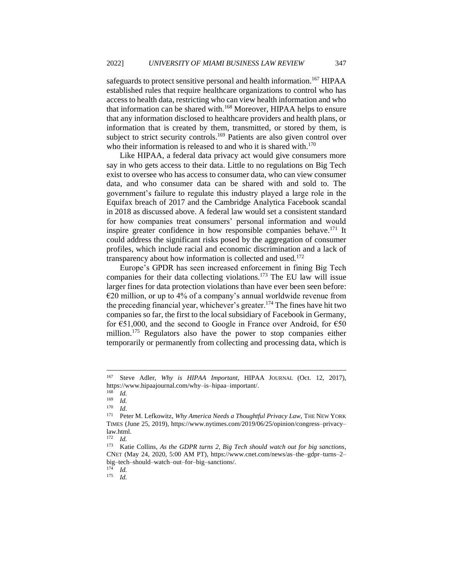safeguards to protect sensitive personal and health information.<sup>167</sup> HIPAA established rules that require healthcare organizations to control who has access to health data, restricting who can view health information and who that information can be shared with.<sup>168</sup> Moreover, HIPAA helps to ensure that any information disclosed to healthcare providers and health plans, or information that is created by them, transmitted, or stored by them, is subject to strict security controls.<sup>169</sup> Patients are also given control over who their information is released to and who it is shared with.<sup>170</sup>

Like HIPAA, a federal data privacy act would give consumers more say in who gets access to their data. Little to no regulations on Big Tech exist to oversee who has access to consumer data, who can view consumer data, and who consumer data can be shared with and sold to. The government's failure to regulate this industry played a large role in the Equifax breach of 2017 and the Cambridge Analytica Facebook scandal in 2018 as discussed above. A federal law would set a consistent standard for how companies treat consumers' personal information and would inspire greater confidence in how responsible companies behave.<sup>171</sup> It could address the significant risks posed by the aggregation of consumer profiles, which include racial and economic discrimination and a lack of transparency about how information is collected and used.<sup>172</sup>

Europe's GPDR has seen increased enforcement in fining Big Tech companies for their data collecting violations.<sup>173</sup> The EU law will issue larger fines for data protection violations than have ever been seen before:  $E20$  million, or up to 4% of a company's annual worldwide revenue from the preceding financial year, whichever's greater.<sup>174</sup> The fines have hit two companies so far, the first to the local subsidiary of Facebook in Germany, for  $\epsilon$ 51,000, and the second to Google in France over Android, for  $\epsilon$ 50 million.<sup>175</sup> Regulators also have the power to stop companies either temporarily or permanently from collecting and processing data, which is

<sup>174</sup> *Id.*

<sup>175</sup> *Id.*

<sup>167</sup> Steve Adler, *Why is HIPAA Important*, HIPAA JOURNAL (Oct. 12, 2017), https://www.hipaajournal.com/why–is–hipaa–important/.

<sup>168</sup> *Id.*

 $\frac{169}{170}$  *Id.* 

 $\frac{170}{171}$  *Id.* 

Peter M. Lefkowitz, *Why America Needs a Thoughtful Privacy Law*, THE NEW YORK TIMES (June 25, 2019), https://www.nytimes.com/2019/06/25/opinion/congress–privacy– law.html.

<sup>172</sup> *Id.*

<sup>173</sup> Katie Collins, *As the GDPR turns 2, Big Tech should watch out for big sanctions*, CNET (May 24, 2020, 5:00 AM PT), https://www.cnet.com/news/as–the–gdpr–turns–2– big–tech–should–watch–out–for–big–sanctions/.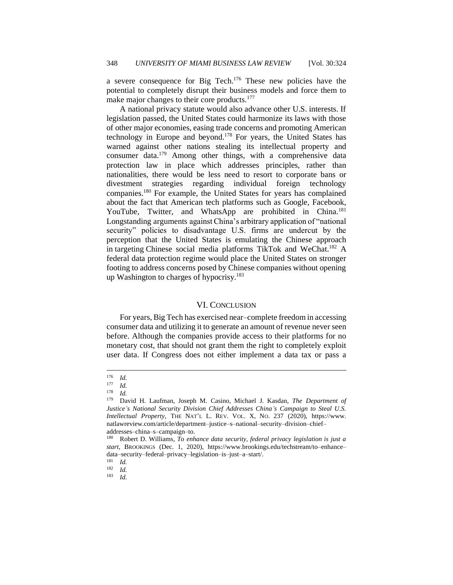a severe consequence for Big Tech.<sup>176</sup> These new policies have the potential to completely disrupt their business models and force them to make major changes to their core products.<sup>177</sup>

A national privacy statute would also advance other U.S. interests. If legislation passed, the United States could harmonize its laws with those of other major economies, easing trade concerns and promoting American technology in Europe and beyond.<sup>178</sup> For years, the United States has warned against other nations stealing its intellectual property and consumer data.<sup>179</sup> Among other things, with a comprehensive data protection law in place which addresses principles, rather than nationalities, there would be less need to resort to corporate bans or divestment strategies regarding individual foreign technology companies.<sup>180</sup> For example, the United States for years has complained about the fact that American tech platforms such as Google, Facebook, YouTube, Twitter, and WhatsApp are prohibited in China.<sup>181</sup> Longstanding arguments against China's arbitrary application of "national security" policies to disadvantage U.S. firms are undercut by the perception that the United States is emulating the Chinese approach in targeting Chinese social media platforms TikTok and WeChat.<sup>182</sup> A federal data protection regime would place the United States on stronger footing to address concerns posed by Chinese companies without opening up Washington to charges of hypocrisy.<sup>183</sup>

# VI. CONCLUSION

<span id="page-25-0"></span>For years, Big Tech has exercised near–complete freedom in accessing consumer data and utilizing it to generate an amount of revenue never seen before. Although the companies provide access to their platforms for no monetary cost, that should not grant them the right to completely exploit user data. If Congress does not either implement a data tax or pass a

 $\frac{176}{177}$  *Id.* 

 $\frac{177}{178}$  *Id.* 

 $\frac{178}{179}$  *Id.* 

<sup>179</sup> David H. Laufman, Joseph M. Casino, Michael J. Kasdan, *The Department of Justice's National Security Division Chief Addresses China's Campaign to Steal U.S. Intellectual Property*, THE NAT'L L. REV. VOL. X, NO. 237 (2020), https://www. natlawreview.com/article/department–justice–s–national–security–division–chief– addresses–china–s–campaign–to.

<sup>180</sup> Robert D. Williams*, To enhance data security, federal privacy legislation is just a start*, BROOKINGS (Dec. 1, 2020), https://www.brookings.edu/techstream/to–enhance– data–security–federal–privacy–legislation–is–just–a–start/.

<sup>181</sup> *Id.*

 $\frac{182}{183}$  *Id.* 

<sup>183</sup> *Id.*